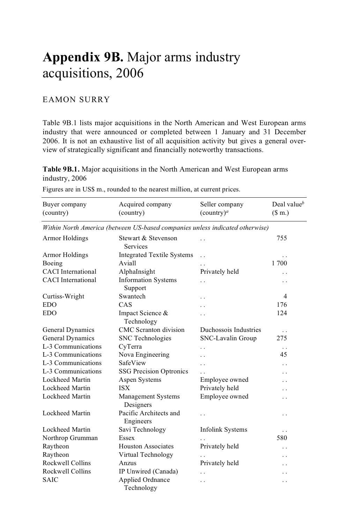## **Appendix 9B.** Major arms industry acquisitions, 2006

## EAMON SURRY

Table 9B.1 lists major acquisitions in the North American and West European arms industry that were announced or completed between 1 January and 31 December 2006. It is not an exhaustive list of all acquisition activity but gives a general overview of strategically significant and financially noteworthy transactions.

**Table 9B.1.** Major acquisitions in the North American and West European arms industry, 2006

| Buyer company             | Acquired company                                                             | Seller company          | Deal value $^b$      |
|---------------------------|------------------------------------------------------------------------------|-------------------------|----------------------|
| (country)                 | (country)                                                                    | $($ country $)^a$       | \$m.)                |
|                           | Within North America (between US-based companies unless indicated otherwise) |                         |                      |
| <b>Armor Holdings</b>     | Stewart & Stevenson<br><b>Services</b>                                       | $\ddot{\phantom{0}}$    | 755                  |
| <b>Armor Holdings</b>     | <b>Integrated Textile Systems</b>                                            | $\ddot{\phantom{0}}$    | . .                  |
| Boeing                    | Aviall                                                                       |                         | 1700                 |
| <b>CACI</b> International | AlphaInsight                                                                 | Privately held          | . .                  |
| <b>CACI</b> International | Information Systems<br>Support                                               | . .                     | . .                  |
| Curtiss-Wright            | Swantech                                                                     | . .                     | 4                    |
| <b>EDO</b>                | CAS                                                                          | . .                     | 176                  |
| <b>EDO</b>                | Impact Science &<br>Technology                                               |                         | 124                  |
| General Dynamics          | <b>CMC</b> Scranton division                                                 | Duchossois Industries   | $\ddotsc$            |
| General Dynamics          | <b>SNC</b> Technologies                                                      | SNC-Lavalin Group       | 275                  |
| L-3 Communications        | CyTerra                                                                      |                         | $\ddotsc$            |
| L-3 Communications        | Nova Engineering                                                             |                         | 45                   |
| L-3 Communications        | SafeView                                                                     | . .                     | $\ddot{\phantom{0}}$ |
| L-3 Communications        | <b>SSG Precision Optronics</b>                                               | $\ddot{\phantom{a}}$    | . .                  |
| Lockheed Martin           | Aspen Systems                                                                | Employee owned          | . .                  |
| Lockheed Martin           | <b>ISX</b>                                                                   | Privately held          | . .                  |
| Lockheed Martin           | Management Systems<br>Designers                                              | Employee owned          | $\cdot$ .            |
| Lockheed Martin           | Pacific Architects and<br>Engineers                                          |                         | $\ddotsc$            |
| Lockheed Martin           | Savi Technology                                                              | <b>Infolink Systems</b> | . .                  |
| Northrop Grumman          | Essex                                                                        |                         | 580                  |
| Raytheon                  | <b>Houston Associates</b>                                                    | Privately held          | $\ddot{\phantom{0}}$ |
| Raytheon                  | Virtual Technology                                                           | $\ddot{\phantom{a}}$    | $\ddot{\phantom{0}}$ |
| Rockwell Collins          | Anzus                                                                        | Privately held          | $\ddot{\phantom{0}}$ |
| Rockwell Collins          | IP Unwired (Canada)                                                          | . .                     | . .                  |
| <b>SAIC</b>               | Applied Ordnance<br>Technology                                               | . .                     | . .                  |

Figures are in US\$ m., rounded to the nearest million, at current prices.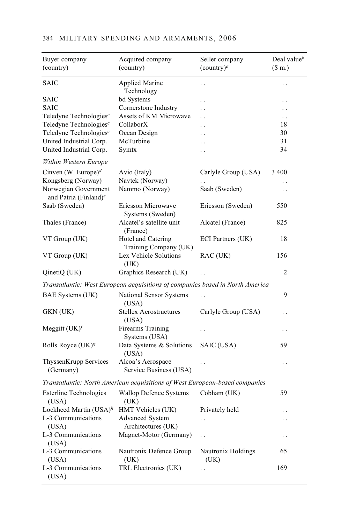| Buyer company<br>(country)                                | Acquired company<br>(country)                                                 | Seller company<br>$($ country $)^a$ | Deal value $\Phi$<br>(\$m.) |
|-----------------------------------------------------------|-------------------------------------------------------------------------------|-------------------------------------|-----------------------------|
| <b>SAIC</b>                                               | <b>Applied Marine</b><br>Technology                                           | . .                                 | . .                         |
| <b>SAIC</b>                                               | bd Systems                                                                    | . .                                 | . .                         |
| <b>SAIC</b>                                               | Cornerstone Industry                                                          | . .                                 |                             |
| Teledyne Technologies <sup>c</sup>                        | Assets of KM Microwave                                                        | . .                                 | . .                         |
| Teledyne Technologies <sup>c</sup>                        | CollaborX                                                                     | . .                                 | 18                          |
| Teledyne Technologies <sup>c</sup>                        | Ocean Design                                                                  | . .                                 | 30                          |
| United Industrial Corp.                                   | McTurbine                                                                     | . .                                 | 31                          |
| United Industrial Corp.                                   | Symtx                                                                         | . .                                 | 34                          |
| Within Western Europe                                     |                                                                               |                                     |                             |
| Cinven (W. Europe) <sup>d</sup>                           | Avio (Italy)                                                                  | Carlyle Group (USA)                 | 3 400                       |
| Kongsberg (Norway)                                        | Navtek (Norway)                                                               |                                     | . .                         |
| Norwegian Government<br>and Patria (Finland) <sup>e</sup> | Nammo (Norway)                                                                | Saab (Sweden)                       | . .                         |
| Saab (Sweden)                                             | Ericsson Microwave<br>Systems (Sweden)                                        | Ericsson (Sweden)                   | 550                         |
| Thales (France)                                           | Alcatel's satellite unit<br>(France)                                          | Alcatel (France)                    | 825                         |
| VT Group (UK)                                             | Hotel and Catering<br>Training Company (UK)                                   | ECI Partners (UK)                   | 18                          |
| VT Group (UK)                                             | Lex Vehicle Solutions<br>(UK)                                                 | RAC(UK)                             | 156                         |
| QinetiQ (UK)                                              | Graphics Research (UK)                                                        |                                     | 2                           |
|                                                           | Transatlantic: West European acquisitions of companies based in North America |                                     |                             |
| BAE Systems (UK)                                          | National Sensor Systems<br>(USA)                                              |                                     | 9                           |
| GKN (UK)                                                  | <b>Stellex Aerostructures</b><br>(USA)                                        | Carlyle Group (USA)                 | . .                         |
| Meggitt $(UK)^f$                                          | Firearms Training<br>Systems (USA)                                            | . .                                 | $\cdot$ .                   |
| Rolls Royce (UK) <sup>g</sup>                             | Data Systems & Solutions<br>(USA)                                             | SAIC (USA)                          | 59                          |
| ThyssenKrupp Services<br>(Germany)                        | Alcoa's Aerospace<br>Service Business (USA)                                   |                                     | . .                         |
|                                                           | Transatlantic: North American acquisitions of West European-based companies   |                                     |                             |
| <b>Esterline Technologies</b><br>(USA)                    | <b>Wallop Defence Systems</b><br>(UK)                                         | Cobham (UK)                         | 59                          |
| Lockheed Martin $(USA)^h$                                 | HMT Vehicles (UK)                                                             | Privately held                      |                             |
| L-3 Communications                                        | <b>Advanced System</b>                                                        | $\ddot{\phantom{0}}$                | . .                         |
| (USA)                                                     | Architectures (UK)                                                            |                                     |                             |
| L-3 Communications<br>(USA)                               | Magnet-Motor (Germany)                                                        | . .                                 | $\cdot$ .                   |
| L-3 Communications<br>(USA)                               | Nautronix Defence Group<br>(UK)                                               | Nautronix Holdings<br>(UK)          | 65                          |
| L-3 Communications<br>(USA)                               | TRL Electronics (UK)                                                          | . .                                 | 169                         |

## 384 MILITARY SPENDING AND ARMAMENTS, 2006